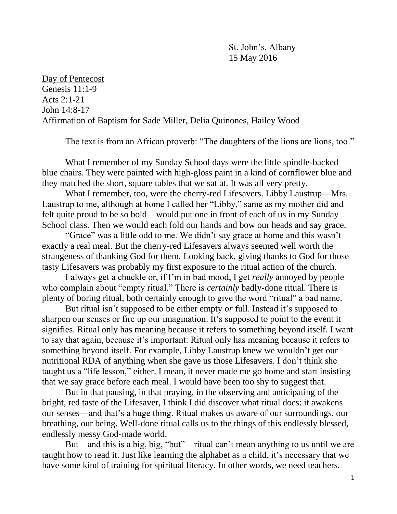St. John's, Albany 15 May 2016

Day of Pentecost Genesis 11:1-9 Acts 2:1-21 John 14:8-17 Affirmation of Baptism for Sade Miller, Delia Quinones, Hailey Wood

The text is from an African proverb: "The daughters of the lions are lions, too."

What I remember of my Sunday School days were the little spindle-backed blue chairs. They were painted with high-gloss paint in a kind of cornflower blue and they matched the short, square tables that we sat at. It was all very pretty.

What I remember, too, were the cherry-red Lifesavers. Libby Laustrup—Mrs. Laustrup to me, although at home I called her "Libby," same as my mother did and felt quite proud to be so bold—would put one in front of each of us in my Sunday School class. Then we would each fold our hands and bow our heads and say grace.

"Grace" was a little odd to me. We didn't say grace at home and this wasn't exactly a real meal. But the cherry-red Lifesavers always seemed well worth the strangeness of thanking God for them. Looking back, giving thanks to God for those tasty Lifesavers was probably my first exposure to the ritual action of the church.

I always get a chuckle or, if I'm in bad mood, I get *really* annoyed by people who complain about "empty ritual." There is *certainly* badly-done ritual. There is plenty of boring ritual, both certainly enough to give the word "ritual" a bad name.

But ritual isn't supposed to be either empty *or* full. Instead it's supposed to sharpen our senses or fire up our imagination. It's supposed to point to the event it signifies. Ritual only has meaning because it refers to something beyond itself. I want to say that again, because it's important: Ritual only has meaning because it refers to something beyond itself. For example, Libby Laustrup knew we wouldn't get our nutritional RDA of anything when she gave us those Lifesavers. I don't think she taught us a "life lesson," either. I mean, it never made me go home and start insisting that we say grace before each meal. I would have been too shy to suggest that.

But in that pausing, in that praying, in the observing and anticipating of the bright, red taste of the Lifesaver, I think I did discover what ritual does: it awakens our senses—and that's a huge thing. Ritual makes us aware of our surroundings, our breathing, our being. Well-done ritual calls us to the things of this endlessly blessed, endlessly messy God-made world.

But—and this is a big, big, "but"—ritual can't mean anything to us until we are taught how to read it. Just like learning the alphabet as a child, it's necessary that we have some kind of training for spiritual literacy. In other words, we need teachers.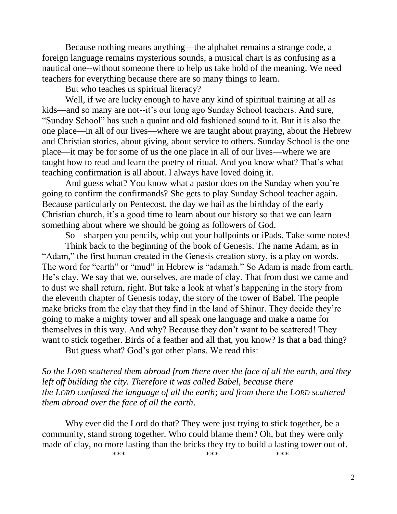Because nothing means anything—the alphabet remains a strange code, a foreign language remains mysterious sounds, a musical chart is as confusing as a nautical one--without someone there to help us take hold of the meaning. We need teachers for everything because there are so many things to learn.

But who teaches us spiritual literacy?

Well, if we are lucky enough to have any kind of spiritual training at all as kids—and so many are not--it's our long ago Sunday School teachers. And sure, "Sunday School" has such a quaint and old fashioned sound to it. But it is also the one place—in all of our lives—where we are taught about praying, about the Hebrew and Christian stories, about giving, about service to others. Sunday School is the one place—it may be for some of us the one place in all of our lives—where we are taught how to read and learn the poetry of ritual. And you know what? That's what teaching confirmation is all about. I always have loved doing it.

And guess what? You know what a pastor does on the Sunday when you're going to confirm the confirmands? She gets to play Sunday School teacher again. Because particularly on Pentecost, the day we hail as the birthday of the early Christian church, it's a good time to learn about our history so that we can learn something about where we should be going as followers of God.

So—sharpen you pencils, whip out your ballpoints or iPads. Take some notes!

Think back to the beginning of the book of Genesis. The name Adam, as in "Adam," the first human created in the Genesis creation story, is a play on words. The word for "earth" or "mud" in Hebrew is "adamah." So Adam is made from earth. He's clay. We say that we, ourselves, are made of clay. That from dust we came and to dust we shall return, right. But take a look at what's happening in the story from the eleventh chapter of Genesis today, the story of the tower of Babel. The people make bricks from the clay that they find in the land of Shinur. They decide they're going to make a mighty tower and all speak one language and make a name for themselves in this way. And why? Because they don't want to be scattered! They want to stick together. Birds of a feather and all that, you know? Is that a bad thing?

But guess what? God's got other plans. We read this:

*So the LORD scattered them abroad from there over the face of all the earth, and they left off building the city. Therefore it was called Babel, because there the LORD confused the language of all the earth; and from there the LORD scattered them abroad over the face of all the earth*.

Why ever did the Lord do that? They were just trying to stick together, be a community, stand strong together. Who could blame them? Oh, but they were only made of clay, no more lasting than the bricks they try to build a lasting tower out of.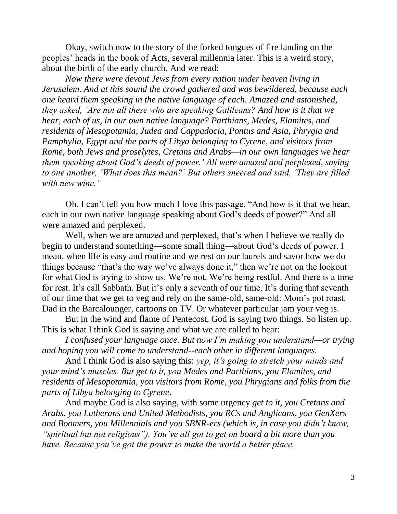Okay, switch now to the story of the forked tongues of fire landing on the peoples' heads in the book of Acts, several millennia later. This is a weird story, about the birth of the early church. And we read:

*Now there were devout Jews from every nation under heaven living in Jerusalem. And at this sound the crowd gathered and was bewildered, because each one heard them speaking in the native language of each. Amazed and astonished, they asked, 'Are not all these who are speaking Galileans? And how is it that we hear, each of us, in our own native language? Parthians, Medes, Elamites, and residents of Mesopotamia, Judea and Cappadocia, Pontus and Asia, Phrygia and Pamphylia, Egypt and the parts of Libya belonging to Cyrene, and visitors from Rome, both Jews and proselytes, Cretans and Arabs—in our own languages we hear them speaking about God's deeds of power.' All were amazed and perplexed, saying to one another, 'What does this mean?' But others sneered and said, 'They are filled with new wine.'*

Oh, I can't tell you how much I love this passage. "And how is it that we hear, each in our own native language speaking about God's deeds of power?" And all were amazed and perplexed.

Well, when we are amazed and perplexed, that's when I believe we really do begin to understand something—some small thing—about God's deeds of power. I mean, when life is easy and routine and we rest on our laurels and savor how we do things because "that's the way we've always done it," then we're not on the lookout for what God is trying to show us. We're not. We're being restful. And there is a time for rest. It's call Sabbath. But it's only a seventh of our time. It's during that seventh of our time that we get to veg and rely on the same-old, same-old: Mom's pot roast. Dad in the Barcalounger, cartoons on TV. Or whatever particular jam your veg is.

But in the wind and flame of Pentecost, God is saying two things. So listen up. This is what I think God is saying and what we are called to hear:

*I confused your language once. But now I'm making you understand—or trying and hoping you will come to understand--each other in different languages.*

And I think God is also saying this: *yep, it's going to stretch your minds and your mind's muscles. But get to it, you Medes and Parthians, you Elamites, and residents of Mesopotamia, you visitors from Rome, you Phrygians and folks from the parts of Libya belonging to Cyrene.*

And maybe God is also saying, with some urgency *get to it, you Cretans and Arabs, you Lutherans and United Methodists, you RCs and Anglicans, you GenXers and Boomers, you Millennials and you SBNR-ers (which is, in case you didn't know, "spiritual but not religious"). You've all got to get on board a bit more than you have. Because you've got the power to make the world a better place.*